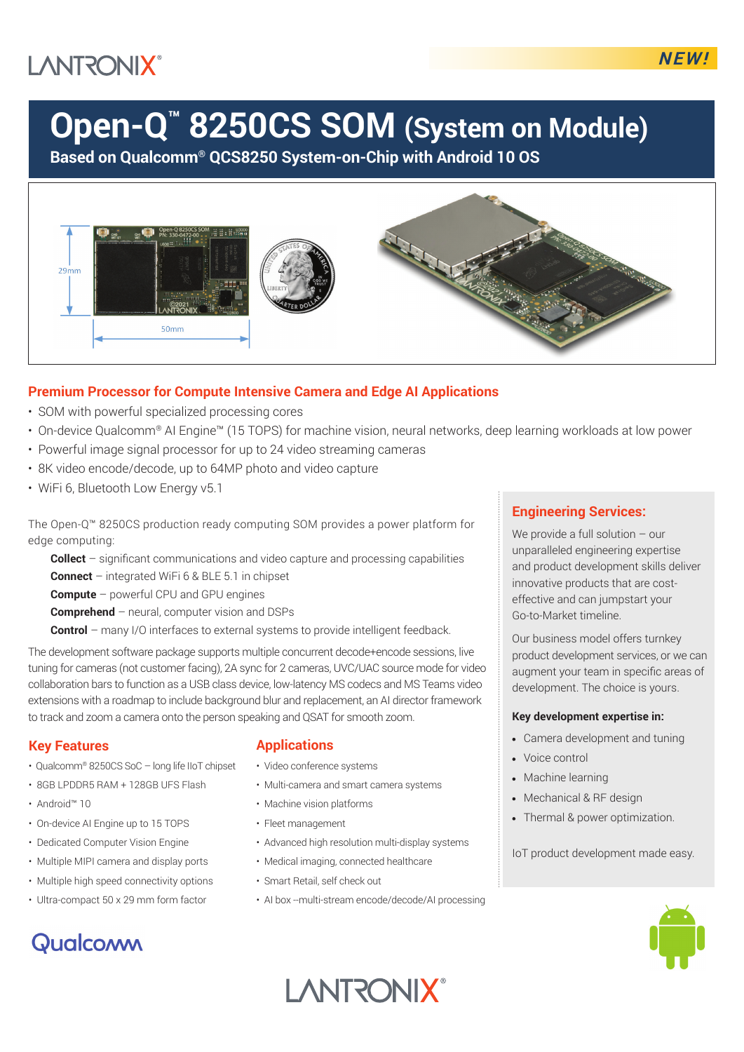## **LANTRONIX®**

# **Open-Q™ 8250CS SOM (System on Module)**

**Based on Qualcomm® QCS8250 System-on-Chip with Android 10 OS**



### **Premium Processor for Compute Intensive Camera and Edge AI Applications**

- SOM with powerful specialized processing cores
- On-device Qualcomm® AI Engine™ (15 TOPS) for machine vision, neural networks, deep learning workloads at low power
- Powerful image signal processor for up to 24 video streaming cameras
- 8K video encode/decode, up to 64MP photo and video capture
- WiFi 6, Bluetooth Low Energy v5.1

The Open-Q™ 8250CS production ready computing SOM provides a power platform for edge computing:

**Collect** – significant communications and video capture and processing capabilities

**Connect** – integrated WiFi 6 & BLE 5.1 in chipset

**Compute** – powerful CPU and GPU engines

**Comprehend** – neural, computer vision and DSPs

**Control** – many I/O interfaces to external systems to provide intelligent feedback.

The development software package supports multiple concurrent decode+encode sessions, live tuning for cameras (not customer facing), 2A sync for 2 cameras, UVC/UAC source mode for video collaboration bars to function as a USB class device, low-latency MS codecs and MS Teams video extensions with a roadmap to include background blur and replacement, an AI director framework to track and zoom a camera onto the person speaking and QSAT for smooth zoom.

#### **Key Features**

- Qualcomm® 8250CS SoC long life IIoT chipset
- 8GB LPDDR5 RAM + 128GB UFS Flash
- Android™ 10
- On-device AI Engine up to 15 TOPS
- Dedicated Computer Vision Engine
- Multiple MIPI camera and display ports
- Multiple high speed connectivity options
- Ultra-compact 50 x 29 mm form factor

### Qualcoww

#### **Applications**

- Video conference systems
- Multi-camera and smart camera systems
- Machine vision platforms
- Fleet management
- Advanced high resolution multi-display systems
- Medical imaging, connected healthcare
- Smart Retail, self check out
- AI box --multi-stream encode/decode/AI processing

#### **Engineering Services:**

We provide a full solution – our unparalleled engineering expertise and product development skills deliver innovative products that are costeffective and can jumpstart your Go-to-Market timeline.

Our business model offers turnkey product development services, or we can augment your team in specific areas of development. The choice is yours.

#### **Key development expertise in:**

- Camera development and tuning
- Voice control
- Machine learning
- Mechanical & RF design
- Thermal & power optimization.

IoT product development made easy.



**I ANTRONIX®**